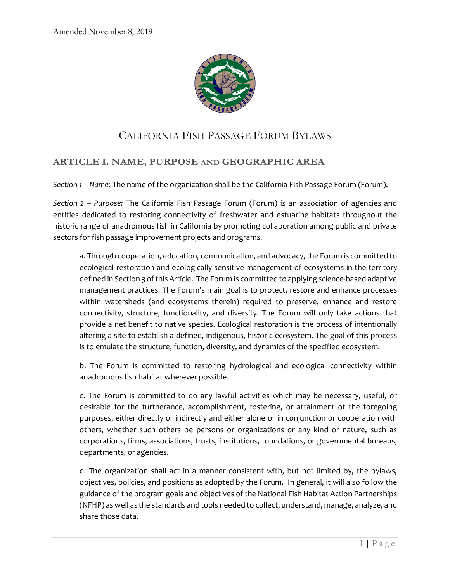

# CALIFORNIA FISH PASSAGE FORUM BYLAWS

# **ARTICLE I. NAME, PURPOSE AND GEOGRAPHIC AREA**

*Section 1 – Name*: The name of the organization shall be the California Fish Passage Forum (Forum).

*Section 2 – Purpose:* The California Fish Passage Forum (Forum) is an association of agencies and entities dedicated to restoring connectivity of freshwater and estuarine habitats throughout the historic range of anadromous fish in California by promoting collaboration among public and private sectors for fish passage improvement projects and programs.

a. Through cooperation, education, communication, and advocacy, the Forum is committed to ecological restoration and ecologically sensitive management of ecosystems in the territory defined in Section 3 of this Article. The Forum is committed to applying science-based adaptive management practices. The Forum's main goal is to protect, restore and enhance processes within watersheds (and ecosystems therein) required to preserve, enhance and restore connectivity, structure, functionality, and diversity. The Forum will only take actions that provide a net benefit to native species. Ecological restoration is the process of intentionally altering a site to establish a defined, indigenous, historic ecosystem. The goal of this process is to emulate the structure, function, diversity, and dynamics of the specified ecosystem.

b. The Forum is committed to restoring hydrological and ecological connectivity within anadromous fish habitat wherever possible.

c. The Forum is committed to do any lawful activities which may be necessary, useful, or desirable for the furtherance, accomplishment, fostering, or attainment of the foregoing purposes, either directly or indirectly and either alone or in conjunction or cooperation with others, whether such others be persons or organizations or any kind or nature, such as corporations, firms, associations, trusts, institutions, foundations, or governmental bureaus, departments, or agencies.

d. The organization shall act in a manner consistent with, but not limited by, the bylaws, objectives, policies, and positions as adopted by the Forum. In general, it will also follow the guidance of the program goals and objectives of the National Fish Habitat Action Partnerships (NFHP) as well as the standards and tools needed to collect, understand, manage, analyze, and share those data.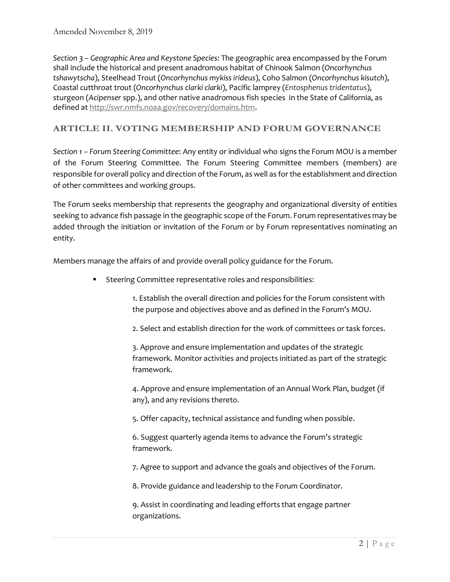*Section 3 – Geographic Area and Keystone Species*: The geographic area encompassed by the Forum shall include the historical and present anadromous habitat of Chinook Salmon (*Oncorhynchus tshawytscha*), Steelhead Trout (*Oncorhynchus mykiss irideus*), Coho Salmon (*Oncorhynchus kisutch*), Coastal cutthroat trout (*Oncorhynchus clarki clarki*), Pacific lamprey (*Entosphenus tridentatus*), sturgeon (*Acipenser* spp.), and other native anadromous fish species in the State of California, as defined at http://swr.nmfs.noaa.gov/recovery/domains.htm.

# **ARTICLE II. VOTING MEMBERSHIP AND FORUM GOVERNANCE**

*Section 1 – Forum Steering Committee*: Any entity or individual who signs the Forum MOU is a member of the Forum Steering Committee. The Forum Steering Committee members (members) are responsible for overall policy and direction of the Forum, as well as for the establishment and direction of other committees and working groups.

The Forum seeks membership that represents the geography and organizational diversity of entities seeking to advance fish passage in the geographic scope of the Forum. Forum representatives may be added through the initiation or invitation of the Forum or by Forum representatives nominating an entity.

Members manage the affairs of and provide overall policy guidance for the Forum.

■ Steering Committee representative roles and responsibilities:

1. Establish the overall direction and policies for the Forum consistent with the purpose and objectives above and as defined in the Forum's MOU.

2. Select and establish direction for the work of committees or task forces.

3. Approve and ensure implementation and updates of the strategic framework. Monitor activities and projects initiated as part of the strategic framework.

4. Approve and ensure implementation of an Annual Work Plan, budget (if any), and any revisions thereto.

5. Offer capacity, technical assistance and funding when possible.

6. Suggest quarterly agenda items to advance the Forum's strategic framework.

7. Agree to support and advance the goals and objectives of the Forum.

8. Provide guidance and leadership to the Forum Coordinator.

9. Assist in coordinating and leading efforts that engage partner organizations.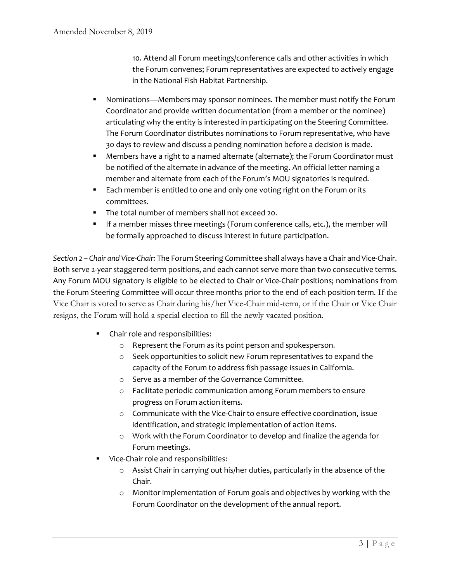10. Attend all Forum meetings/conference calls and other activities in which the Forum convenes; Forum representatives are expected to actively engage in the National Fish Habitat Partnership.

- § Nominations—Members may sponsor nominees. The member must notify the Forum Coordinator and provide written documentation (from a member or the nominee) articulating why the entity is interested in participating on the Steering Committee. The Forum Coordinator distributes nominations to Forum representative, who have 30 days to review and discuss a pending nomination before a decision is made.
- Members have a right to a named alternate (alternate); the Forum Coordinator must be notified of the alternate in advance of the meeting. An official letter naming a member and alternate from each of the Forum's MOU signatories is required.
- Each member is entitled to one and only one voting right on the Forum or its committees.
- § The total number of members shall not exceed 20.
- If a member misses three meetings (Forum conference calls, etc.), the member will be formally approached to discuss interest in future participation.

*Section 2 – Chair and Vice-Chair:* The Forum Steering Committee shall always have a Chair and Vice-Chair. Both serve 2-year staggered-term positions, and each cannot serve more than two consecutive terms. Any Forum MOU signatory is eligible to be elected to Chair or Vice-Chair positions; nominations from the Forum Steering Committee will occur three months prior to the end of each position term. If the Vice Chair is voted to serve as Chair during his/her Vice-Chair mid-term, or if the Chair or Vice Chair resigns, the Forum will hold a special election to fill the newly vacated position.

- Chair role and responsibilities:
	- o Represent the Forum as its point person and spokesperson.
	- o Seek opportunities to solicit new Forum representatives to expand the capacity of the Forum to address fish passage issues in California.
	- o Serve as a member of the Governance Committee.
	- o Facilitate periodic communication among Forum members to ensure progress on Forum action items.
	- o Communicate with the Vice-Chair to ensure effective coordination, issue identification, and strategic implementation of action items.
	- o Work with the Forum Coordinator to develop and finalize the agenda for Forum meetings.
- **•** Vice-Chair role and responsibilities:
	- o Assist Chair in carrying out his/her duties, particularly in the absence of the Chair.
	- o Monitor implementation of Forum goals and objectives by working with the Forum Coordinator on the development of the annual report.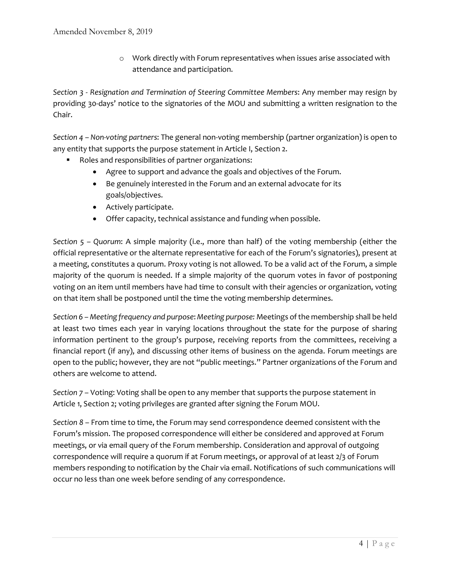o Work directly with Forum representatives when issues arise associated with attendance and participation.

*Section 3 - Resignation and Termination of Steering Committee Members*: Any member may resign by providing 30-days' notice to the signatories of the MOU and submitting a written resignation to the Chair.

*Section 4 – Non-voting partners*: The general non-voting membership (partner organization) is open to any entity that supports the purpose statement in Article I, Section 2.

- Roles and responsibilities of partner organizations:
	- Agree to support and advance the goals and objectives of the Forum.
	- Be genuinely interested in the Forum and an external advocate for its goals/objectives.
	- Actively participate.
	- Offer capacity, technical assistance and funding when possible.

*Section 5 – Quorum*: A simple majority (i.e., more than half) of the voting membership (either the official representative or the alternate representative for each of the Forum's signatories), present at a meeting, constitutes a quorum. Proxy voting is not allowed. To be a valid act of the Forum, a simple majority of the quorum is needed. If a simple majority of the quorum votes in favor of postponing voting on an item until members have had time to consult with their agencies or organization, voting on that item shall be postponed until the time the voting membership determines.

*Section 6 – Meeting frequency and purpose*: *Meeting purpose:* Meetings of the membership shall be held at least two times each year in varying locations throughout the state for the purpose of sharing information pertinent to the group's purpose, receiving reports from the committees, receiving a financial report (if any), and discussing other items of business on the agenda. Forum meetings are open to the public; however, they are not "public meetings." Partner organizations of the Forum and others are welcome to attend.

*Section 7* – Voting: Voting shall be open to any member that supports the purpose statement in Article 1, Section 2; voting privileges are granted after signing the Forum MOU.

*Section 8* – From time to time, the Forum may send correspondence deemed consistent with the Forum's mission. The proposed correspondence will either be considered and approved at Forum meetings, or via email query of the Forum membership. Consideration and approval of outgoing correspondence will require a quorum if at Forum meetings, or approval of at least 2/3 of Forum members responding to notification by the Chair via email. Notifications of such communications will occur no less than one week before sending of any correspondence.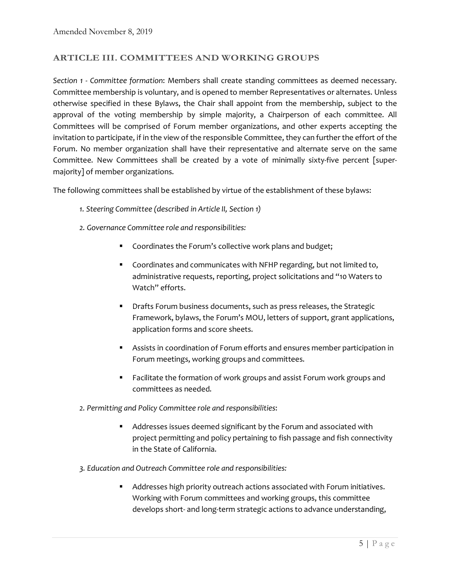#### **ARTICLE III. COMMITTEES AND WORKING GROUPS**

*Section 1 - Committee formation*: Members shall create standing committees as deemed necessary. Committee membership is voluntary, and is opened to member Representatives or alternates. Unless otherwise specified in these Bylaws, the Chair shall appoint from the membership, subject to the approval of the voting membership by simple majority, a Chairperson of each committee. All Committees will be comprised of Forum member organizations, and other experts accepting the invitation to participate, if in the view of the responsible Committee, they can further the effort of the Forum. No member organization shall have their representative and alternate serve on the same Committee. New Committees shall be created by a vote of minimally sixty-five percent [supermajority] of member organizations.

The following committees shall be established by virtue of the establishment of these bylaws:

- *1. Steering Committee (described in Article II, Section 1)*
- *2. Governance Committee role and responsibilities:*
	- Coordinates the Forum's collective work plans and budget;
	- Coordinates and communicates with NFHP regarding, but not limited to, administrative requests, reporting, project solicitations and "10 Waters to Watch" efforts.
	- § Drafts Forum business documents, such as press releases, the Strategic Framework, bylaws, the Forum's MOU, letters of support, grant applications, application forms and score sheets.
	- Assists in coordination of Forum efforts and ensures member participation in Forum meetings, working groups and committees.
	- Facilitate the formation of work groups and assist Forum work groups and committees as needed.
- *2. Permitting and Policy Committee role and responsibilities*:
	- Addresses issues deemed significant by the Forum and associated with project permitting and policy pertaining to fish passage and fish connectivity in the State of California.
- *3. Education and Outreach Committee role and responsibilities:*
	- Addresses high priority outreach actions associated with Forum initiatives. Working with Forum committees and working groups, this committee develops short- and long-term strategic actions to advance understanding,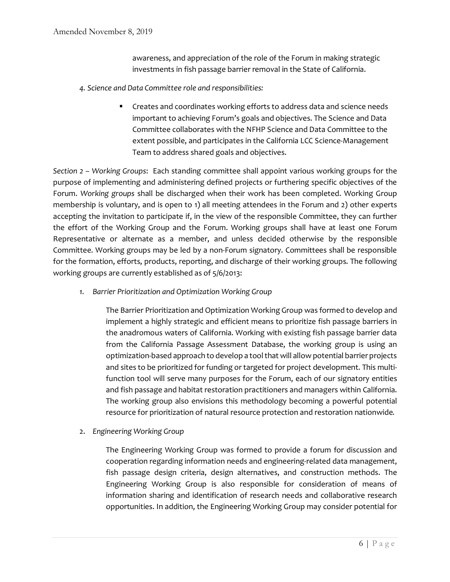awareness, and appreciation of the role of the Forum in making strategic investments in fish passage barrier removal in the State of California.

- *4. Science and Data Committee role and responsibilities:*
	- Creates and coordinates working efforts to address data and science needs important to achieving Forum's goals and objectives. The Science and Data Committee collaborates with the NFHP Science and Data Committee to the extent possible, and participates in the California LCC Science-Management Team to address shared goals and objectives.

*Section 2 – Working Groups*: Each standing committee shall appoint various working groups for the purpose of implementing and administering defined projects or furthering specific objectives of the Forum. *Working groups* shall be discharged when their work has been completed. Working Group membership is voluntary, and is open to 1) all meeting attendees in the Forum and 2) other experts accepting the invitation to participate if, in the view of the responsible Committee, they can further the effort of the Working Group and the Forum. Working groups shall have at least one Forum Representative or alternate as a member, and unless decided otherwise by the responsible Committee. Working groups may be led by a non-Forum signatory. Committees shall be responsible for the formation, efforts, products, reporting, and discharge of their working groups. The following working groups are currently established as of 5/6/2013:

*1. Barrier Prioritization and Optimization Working Group*

The Barrier Prioritization and Optimization Working Group was formed to develop and implement a highly strategic and efficient means to prioritize fish passage barriers in the anadromous waters of California. Working with existing fish passage barrier data from the California Passage Assessment Database, the working group is using an optimization-based approach to develop a tool that will allow potential barrier projects and sites to be prioritized for funding or targeted for project development. This multifunction tool will serve many purposes for the Forum, each of our signatory entities and fish passage and habitat restoration practitioners and managers within California. The working group also envisions this methodology becoming a powerful potential resource for prioritization of natural resource protection and restoration nationwide*.*

2. *Engineering Working Group*

The Engineering Working Group was formed to provide a forum for discussion and cooperation regarding information needs and engineering-related data management, fish passage design criteria, design alternatives, and construction methods. The Engineering Working Group is also responsible for consideration of means of information sharing and identification of research needs and collaborative research opportunities. In addition, the Engineering Working Group may consider potential for